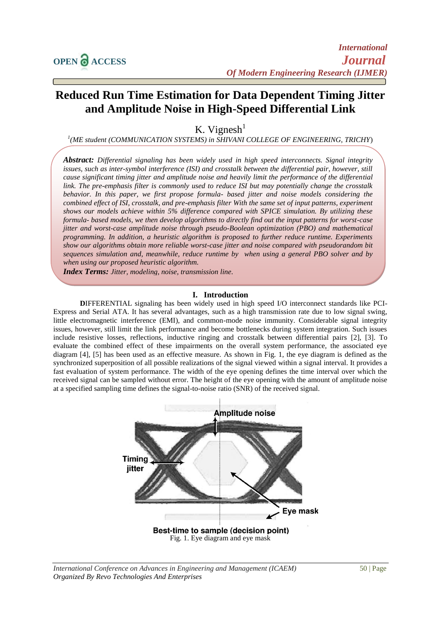# **Reduced Run Time Estimation for Data Dependent Timing Jitter and Amplitude Noise in High-Speed Differential Link**

K. Vignesh $<sup>1</sup>$ </sup>

*1 (ME student (COMMUNICATION SYSTEMS) in SHIVANI COLLEGE OF ENGINEERING, TRICHY*)

*Abstract: Differential signaling has been widely used in high speed interconnects. Signal integrity issues, such as inter-symbol interference (ISI) and crosstalk between the differential pair, however, still cause significant timing jitter and amplitude noise and heavily limit the performance of the differential link. The pre-emphasis filter is commonly used to reduce ISI but may potentially change the crosstalk behavior. In this paper, we first propose formula- based jitter and noise models considering the combined effect of ISI, crosstalk, and pre-emphasis filter With the same set of input patterns, experiment shows our models achieve within 5% difference compared with SPICE simulation. By utilizing these formula- based models, we then develop algorithms to directly find out the input patterns for worst-case jitter and worst-case amplitude noise through pseudo-Boolean optimization (PBO) and mathematical programming. In addition, a heuristic algorithm is proposed to further reduce runtime. Experiments show our algorithms obtain more reliable worst-case jitter and noise compared with pseudorandom bit sequences simulation and, meanwhile, reduce runtime by when using a general PBO solver and by when using our proposed heuristic algorithm.*

*Index Terms: Jitter, modeling, noise, transmission line.*

# **I. Introduction**

**D**IFFERENTIAL signaling has been widely used in high speed I/O interconnect standards like PCI-Express and Serial ATA. It has several advantages, such as a high transmission rate due to low signal swing, little electromagnetic interference (EMI), and common-mode noise immunity. Considerable signal integrity issues, however, still limit the link performance and become bottlenecks during system integration. Such issues include resistive losses, reflections, inductive ringing and crosstalk between differential pairs [2], [3]. To evaluate the combined effect of these impairments on the overall system performance, the associated eye diagram [4], [5] has been used as an effective measure. As shown in Fig. 1, the eye diagram is defined as the synchronized superposition of all possible realizations of the signal viewed within a signal interval. It provides a fast evaluation of system performance. The width of the eye opening defines the time interval over which the received signal can be sampled without error. The height of the eye opening with the amount of amplitude noise at a specified sampling time defines the signal-to-noise ratio (SNR) of the received signal.



*International Conference on Advances in Engineering and Management (ICAEM)* 50 | Page *Organized By Revo Technologies And Enterprises*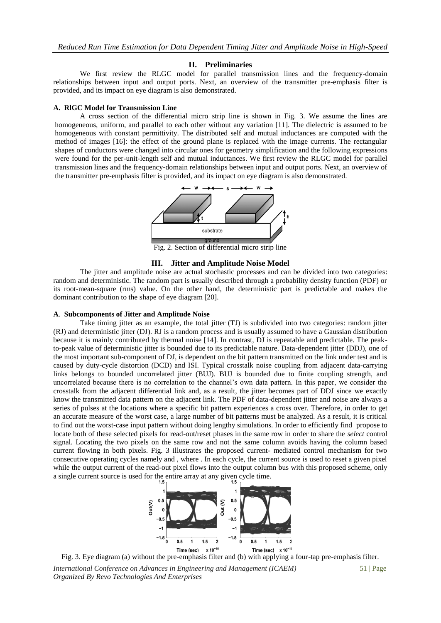#### **II. Preliminaries**

We first review the RLGC model for parallel transmission lines and the frequency-domain relationships between input and output ports. Next, an overview of the transmitter pre-emphasis filter is provided, and its impact on eye diagram is also demonstrated.

#### **A. RlGC Model for Transmission Line**

A cross section of the differential micro strip line is shown in Fig. 3. We assume the lines are homogeneous, uniform, and parallel to each other without any variation [11]. The dielectric is assumed to be homogeneous with constant permittivity. The distributed self and mutual inductances are computed with the method of images [16]: the effect of the ground plane is replaced with the image currents. The rectangular shapes of conductors were changed into circular ones for geometry simplification and the following expressions were found for the per-unit-length self and mutual inductances. We first review the RLGC model for parallel transmission lines and the frequency-domain relationships between input and output ports. Next, an overview of the transmitter pre-emphasis filter is provided, and its impact on eye diagram is also demonstrated.



Fig. 2. Section of differential micro strip line

## **III. Jitter and Amplitude Noise Model**

The jitter and amplitude noise are actual stochastic processes and can be divided into two categories: random and deterministic. The random part is usually described through a probability density function (PDF) or its root-mean-square (rms) value. On the other hand, the deterministic part is predictable and makes the dominant contribution to the shape of eye diagram [20].

## **A***.* **Subcomponents of Jitter and Amplitude Noise**

Take timing jitter as an example, the total jitter (TJ) is subdivided into two categories: random jitter (RJ) and deterministic jitter (DJ). RJ is a random process and is usually assumed to have a Gaussian distribution because it is mainly contributed by thermal noise [14]. In contrast, DJ is repeatable and predictable. The peakto-peak value of deterministic jitter is bounded due to its predictable nature. Data-dependent jitter (DDJ), one of the most important sub-component of DJ, is dependent on the bit pattern transmitted on the link under test and is caused by duty-cycle distortion (DCD) and ISI. Typical crosstalk noise coupling from adjacent data-carrying links belongs to bounded uncorrelated jitter (BUJ). BUJ is bounded due to finite coupling strength, and uncorrelated because there is no correlation to the channel's own data pattern. In this paper, we consider the crosstalk from the adjacent differential link and, as a result, the jitter becomes part of DDJ since we exactly know the transmitted data pattern on the adjacent link. The PDF of data-dependent jitter and noise are always a series of pulses at the locations where a specific bit pattern experiences a cross over. Therefore, in order to get an accurate measure of the worst case, a large number of bit patterns must be analyzed. As a result, it is critical to find out the worst-case input pattern without doing lengthy simulations. In order to efficiently find propose to locate both of these selected pixels for read-out/reset phases in the same row in order to share the *select* control signal. Locating the two pixels on the same row and not the same column avoids having the column based current flowing in both pixels. Fig. 3 illustrates the proposed current- mediated control mechanism for two consecutive operating cycles namely and , where . In each cycle, the current source is used to reset a given pixel while the output current of the read-out pixel flows into the output column bus with this proposed scheme, only a single current source is used for the entire array at any given cycle time.





*International Conference on Advances in Engineering and Management (ICAEM)* 51 | Page *Organized By Revo Technologies And Enterprises*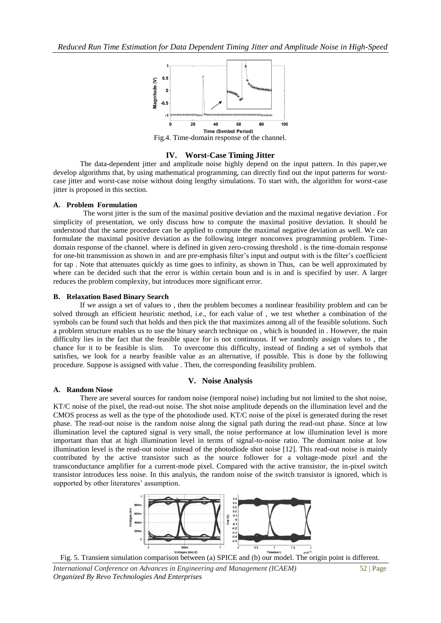

Fig.4. Time-domain response of the channel.

#### **IV. Worst-Case Timing Jitter**

The data-dependent jitter and amplitude noise highly depend on the input pattern. In this paper,we develop algorithms that, by using mathematical programming, can directly find out the input patterns for worstcase jitter and worst-case noise without doing lengthy simulations. To start with, the algorithm for worst-case jitter is proposed in this section.

#### **A. Problem Formulation**

The worst jitter is the sum of the maximal positive deviation and the maximal negative deviation . For simplicity of presentation, we only discuss how to compute the maximal positive deviation. It should be understood that the same procedure can be applied to compute the maximal negative deviation as well. We can formulate the maximal positive deviation as the following integer nonconvex programming problem. Timedomain response of the channel. where is defined in given zero-crossing threshold . is the time-domain response for one-bit transmission as shown in and are pre-emphasis filter's input and output with is the filter's coefficient for tap . Note that attenuates quickly as time goes to infinity, as shown in Thus, can be well approximated by where can be decided such that the error is within certain boun and is in and is specified by user. A larger reduces the problem complexity, but introduces more significant error.

## **B. Relaxation Based Binary Search**

If we assign a set of values to , then the problem becomes a nonlinear feasibility problem and can be solved through an efficient heuristic method, i.e., for each value of , we test whether a combination of the symbols can be found such that holds and then pick the that maximizes among all of the feasible solutions. Such a problem structure enables us to use the binary search technique on , which is bounded in . However, the main difficulty lies in the fact that the feasible space for is not continuous. If we randomly assign values to , the chance for it to be feasible is slim. To overcome this difficulty, instead of finding a set of symbols that satisfies, we look for a nearby feasible value as an alternative, if possible. This is done by the following procedure. Suppose is assigned with value . Then, the corresponding feasibility problem.

### **V. Noise Analysis**

### **A. Random Niose**

There are several sources for random noise (temporal noise) including but not limited to the shot noise, KT/C noise of the pixel, the read-out noise. The shot noise amplitude depends on the illumination level and the CMOS process as well as the type of the photodiode used. KT/C noise of the pixel is generated during the reset phase. The read-out noise is the random noise along the signal path during the read-out phase. Since at low illumination level the captured signal is very small, the noise performance at low illumination level is more important than that at high illumination level in terms of signal-to-noise ratio. The dominant noise at low illumination level is the read-out noise instead of the photodiode shot noise [12]. This read-out noise is mainly contributed by the active transistor such as the source follower for a voltage-mode pixel and the transconductance amplifier for a current-mode pixel. Compared with the active transistor, the in-pixel switch transistor introduces less noise. In this analysis, the random noise of the switch transistor is ignored, which is supported by other literatures' assumption.



*International Conference on Advances in Engineering and Management (ICAEM)* 52 | Page *Organized By Revo Technologies And Enterprises*